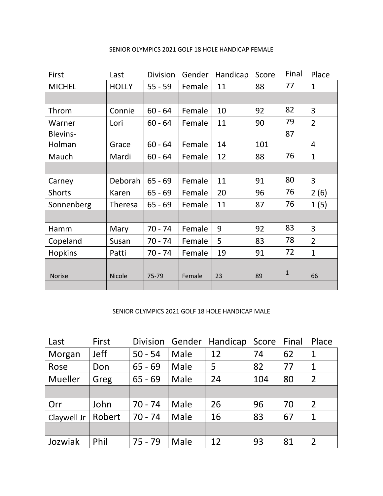| First           | Last           | <b>Division</b> | Gender | Handicap | Score | Final        | Place          |
|-----------------|----------------|-----------------|--------|----------|-------|--------------|----------------|
| <b>MICHEL</b>   | <b>HOLLY</b>   | $55 - 59$       | Female | 11       | 88    | 77           | $\mathbf{1}$   |
|                 |                |                 |        |          |       |              |                |
| Throm           | Connie         | $60 - 64$       | Female | 10       | 92    | 82           | 3              |
| Warner          | Lori           | $60 - 64$       | Female | 11       | 90    | 79           | $\overline{2}$ |
| <b>Blevins-</b> |                |                 |        |          |       | 87           |                |
| Holman          | Grace          | $60 - 64$       | Female | 14       | 101   |              | 4              |
| Mauch           | Mardi          | $60 - 64$       | Female | 12       | 88    | 76           | $\mathbf{1}$   |
|                 |                |                 |        |          |       |              |                |
| Carney          | Deborah        | $65 - 69$       | Female | 11       | 91    | 80           | 3              |
| <b>Shorts</b>   | Karen          | $65 - 69$       | Female | 20       | 96    | 76           | 2(6)           |
| Sonnenberg      | <b>Theresa</b> | $65 - 69$       | Female | 11       | 87    | 76           | 1(5)           |
|                 |                |                 |        |          |       |              |                |
| Hamm            | Mary           | $70 - 74$       | Female | 9        | 92    | 83           | 3              |
| Copeland        | Susan          | $70 - 74$       | Female | 5        | 83    | 78           | $\overline{2}$ |
| <b>Hopkins</b>  | Patti          | $70 - 74$       | Female | 19       | 91    | 72           | $\mathbf{1}$   |
|                 |                |                 |        |          |       |              |                |
| <b>Norise</b>   | <b>Nicole</b>  | 75-79           | Female | 23       | 89    | $\mathbf{1}$ | 66             |
|                 |                |                 |        |          |       |              |                |

## SENIOR OLYMPICS 2021 GOLF 18 HOLE HANDICAP FEMALE

## SENIOR OLYMPICS 2021 GOLF 18 HOLE HANDICAP MALE

| Last           | First       | <b>Division</b> | Gender | Handicap | Score | Final | Place          |
|----------------|-------------|-----------------|--------|----------|-------|-------|----------------|
| Morgan         | <b>Jeff</b> | $50 - 54$       | Male   | 12       | 74    | 62    | 1              |
| Rose           | Don         | $65 - 69$       | Male   | 5        | 82    | 77    | 1              |
| <b>Mueller</b> | Greg        | $65 - 69$       | Male   | 24       | 104   | 80    | $\overline{2}$ |
|                |             |                 |        |          |       |       |                |
| Orr            | John        | $70 - 74$       | Male   | 26       | 96    | 70    | $\overline{2}$ |
| Claywell Jr    | Robert      | $70 - 74$       | Male   | 16       | 83    | 67    | $\mathbf 1$    |
|                |             |                 |        |          |       |       |                |
| Jozwiak        | Phil        | $75 - 79$       | Male   | 12       | 93    | 81    | $\overline{2}$ |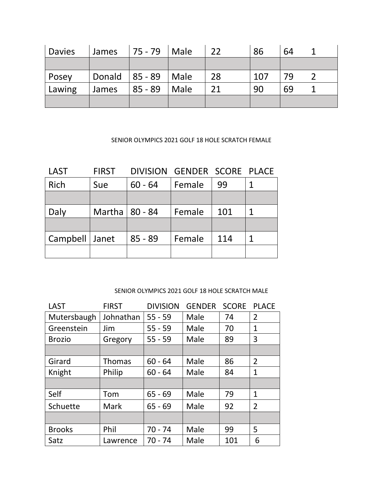| <b>Davies</b> | <b>James</b> | $ 75 - 79 $ Male        |      | 22 | 86  | 64 |  |
|---------------|--------------|-------------------------|------|----|-----|----|--|
|               |              |                         |      |    |     |    |  |
| Posey         |              | Donald $ 85 - 89 $ Male |      | 28 | 107 | 79 |  |
| Lawing        | James        | $85 - 89$               | Male | 21 | 90  | 69 |  |
|               |              |                         |      |    |     |    |  |

## SENIOR OLYMPICS 2021 GOLF 18 HOLE SCRATCH FEMALE

| <b>LAST</b>      | <b>FIRST</b>     | DIVISION GENDER SCORE PLACE |        |     |   |
|------------------|------------------|-----------------------------|--------|-----|---|
| Rich             | Sue              | $60 - 64$                   | Female | 99  | 1 |
|                  |                  |                             |        |     |   |
| Daly             | Martha   80 - 84 |                             | Female | 101 | 1 |
|                  |                  |                             |        |     |   |
| Campbell   Janet |                  | $85 - 89$                   | Female | 114 | 1 |
|                  |                  |                             |        |     |   |

## SENIOR OLYMPICS 2021 GOLF 18 HOLE SCRATCH MALE

| LAST          | <b>FIRST</b>  | <b>DIVISION</b> | <b>GENDER</b> | <b>SCORE</b> | <b>PLACE</b>   |
|---------------|---------------|-----------------|---------------|--------------|----------------|
| Mutersbaugh   | Johnathan     | $55 - 59$       | Male          | 74           | $\overline{2}$ |
| Greenstein    | Jim           | $55 - 59$       | Male          | 70           | 1              |
| <b>Brozio</b> | Gregory       | $55 - 59$       | Male          | 89           | 3              |
|               |               |                 |               |              |                |
| Girard        | <b>Thomas</b> | $60 - 64$       | Male          | 86           | $\overline{2}$ |
| Knight        | Philip        | $60 - 64$       | Male          | 84           | $\mathbf{1}$   |
|               |               |                 |               |              |                |
| Self          | Tom           | $65 - 69$       | Male          | 79           | $\mathbf{1}$   |
| Schuette      | <b>Mark</b>   | $65 - 69$       | Male          | 92           | $\overline{2}$ |
|               |               |                 |               |              |                |
| <b>Brooks</b> | Phil          | $70 - 74$       | Male          | 99           | 5              |
| Satz          | Lawrence      | $70 - 74$       | Male          | 101          | 6              |